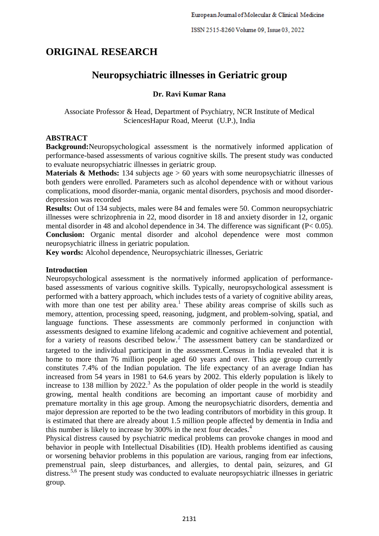# **ORIGINAL RESEARCH**

## **Neuropsychiatric illnesses in Geriatric group**

## **Dr. Ravi Kumar Rana**

Associate Professor & Head, Department of Psychiatry, NCR Institute of Medical SciencesHapur Road, Meerut (U.P.), India

#### **ABSTRACT**

**Background:**Neuropsychological assessment is the normatively informed application of performance-based assessments of various cognitive skills. The present study was conducted to evaluate neuropsychiatric illnesses in geriatric group.

**Materials & Methods:** 134 subjects age > 60 years with some neuropsychiatric illnesses of both genders were enrolled. Parameters such as alcohol dependence with or without various complications, mood disorder-mania, organic mental disorders, psychosis and mood disorderdepression was recorded

**Results:** Out of 134 subjects, males were 84 and females were 50. Common neuropsychiatric illnesses were schrizophrenia in 22, mood disorder in 18 and anxiety disorder in 12, organic mental disorder in 48 and alcohol dependence in 34. The difference was significant (P< 0.05). **Conclusion:** Organic mental disorder and alcohol dependence were most common neuropsychiatric illness in geriatric population.

**Key words:** Alcohol dependence, Neuropsychiatric illnesses, Geriatric

#### **Introduction**

Neuropsychological assessment is the normatively informed application of performancebased assessments of various cognitive skills. Typically, neuropsychological assessment is performed with a battery approach, which includes tests of a variety of cognitive ability areas, with more than one test per ability area.<sup>1</sup> These ability areas comprise of skills such as memory, attention, processing speed, reasoning, judgment, and problem-solving, spatial, and language functions. These assessments are commonly performed in conjunction with assessments designed to examine lifelong academic and cognitive achievement and potential, for a variety of reasons described below.<sup>2</sup> The assessment battery can be standardized or targeted to the individual participant in the assessment.Census in India revealed that it is home to more than 76 million people aged 60 years and over. This age group currently constitutes 7.4% of the Indian population. The life expectancy of an average Indian has increased from 54 years in 1981 to 64.6 years by 2002. This elderly population is likely to increase to 138 million by 2022. <sup>3</sup> As the population of older people in the world is steadily growing, mental health conditions are becoming an important cause of morbidity and premature mortality in this age group. Among the neuropsychiatric disorders, dementia and major depression are reported to be the two leading contributors of morbidity in this group. It is estimated that there are already about 1.5 million people affected by dementia in India and this number is likely to increase by 300% in the next four decades. 4

Physical distress caused by psychiatric medical problems can provoke changes in mood and behavior in people with Intellectual Disabilities (ID). Health problems identified as causing or worsening behavior problems in this population are various, ranging from ear infections, premenstrual pain, sleep disturbances, and allergies, to dental pain, seizures, and GI distress.<sup>5,6</sup> The present study was conducted to evaluate neuropsychiatric illnesses in geriatric group.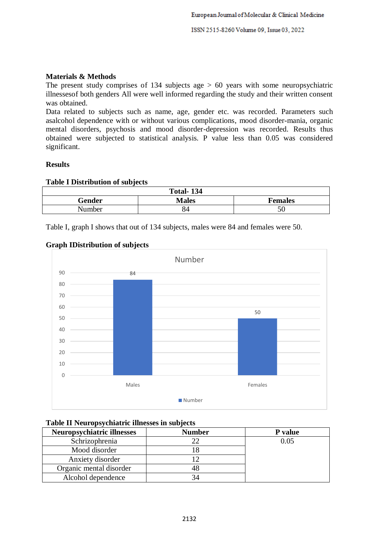ISSN 2515-8260 Volume 09, Issue 03, 2022

#### **Materials & Methods**

The present study comprises of 134 subjects age  $> 60$  years with some neuropsychiatric illnessesof both genders All were well informed regarding the study and their written consent was obtained.

Data related to subjects such as name, age, gender etc. was recorded. Parameters such asalcohol dependence with or without various complications, mood disorder-mania, organic mental disorders, psychosis and mood disorder-depression was recorded. Results thus obtained were subjected to statistical analysis. P value less than 0.05 was considered significant.

#### **Results**

#### **Table I Distribution of subjects**

| <b>Total-134</b> |              |                |  |
|------------------|--------------|----------------|--|
| Gender           | <b>Males</b> | <b>Females</b> |  |
| Number           | 84           | 50             |  |

Table I, graph I shows that out of 134 subjects, males were 84 and females were 50.

#### **Graph IDistribution of subjects**



### **Table II Neuropsychiatric illnesses in subjects**

| <b>Neuropsychiatric illnesses</b> | <b>Number</b> | P value |
|-----------------------------------|---------------|---------|
| Schrizophrenia                    |               | 0.05    |
| Mood disorder                     |               |         |
| Anxiety disorder                  |               |         |
| Organic mental disorder           |               |         |
| Alcohol dependence                |               |         |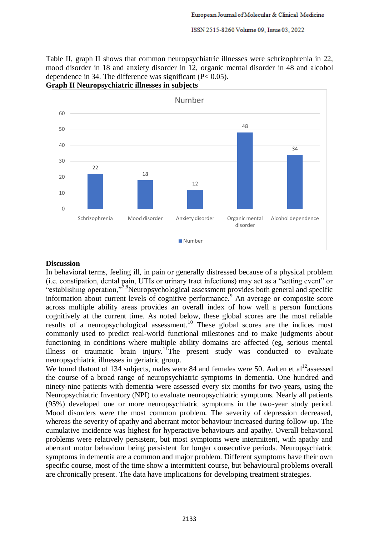Table II, graph II shows that common neuropsychiatric illnesses were schrizophrenia in 22, mood disorder in 18 and anxiety disorder in 12, organic mental disorder in 48 and alcohol dependence in 34. The difference was significant (P< 0.05).





#### **Discussion**

In behavioral terms, feeling ill, in pain or generally distressed because of a physical problem (i.e. constipation, dental pain, UTIs or urinary tract infections) may act as a "setting event" or "establishing operation,"7,8Neuropsychological assessment provides both general and specific information about current levels of cognitive performance.<sup>9</sup> An average or composite score across multiple ability areas provides an overall index of how well a person functions cognitively at the current time. As noted below, these global scores are the most reliable results of a neuropsychological assessment.<sup>10</sup> These global scores are the indices most commonly used to predict real-world functional milestones and to make judgments about functioning in conditions where multiple ability domains are affected (eg, serious mental illness or traumatic brain injury.<sup>11</sup>The present study was conducted to evaluate neuropsychiatric illnesses in geriatric group.

We found thatout of 134 subjects, males were 84 and females were 50. Aalten et  $al<sup>12</sup>$ assessed the course of a broad range of neuropsychiatric symptoms in dementia. One hundred and ninety-nine patients with dementia were assessed every six months for two-years, using the Neuropsychiatric Inventory (NPI) to evaluate neuropsychiatric symptoms. Nearly all patients (95%) developed one or more neuropsychiatric symptoms in the two-year study period. Mood disorders were the most common problem. The severity of depression decreased, whereas the severity of apathy and aberrant motor behaviour increased during follow-up. The cumulative incidence was highest for hyperactive behaviours and apathy. Overall behavioral problems were relatively persistent, but most symptoms were intermittent, with apathy and aberrant motor behaviour being persistent for longer consecutive periods. Neuropsychiatric symptoms in dementia are a common and major problem. Different symptoms have their own specific course, most of the time show a intermittent course, but behavioural problems overall are chronically present. The data have implications for developing treatment strategies.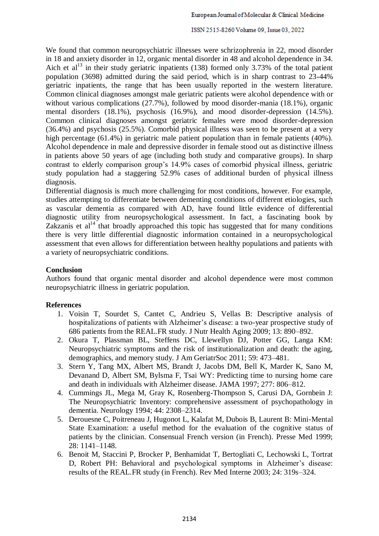#### ISSN 2515-8260 Volume 09, Issue 03, 2022

We found that common neuropsychiatric illnesses were schrizophrenia in 22, mood disorder in 18 and anxiety disorder in 12, organic mental disorder in 48 and alcohol dependence in 34. Aich et al<sup>13</sup> in their study geriatric inpatients (138) formed only 3.73% of the total patient population (3698) admitted during the said period, which is in sharp contrast to 23-44% geriatric inpatients, the range that has been usually reported in the western literature. Common clinical diagnoses amongst male geriatric patients were alcohol dependence with or without various complications (27.7%), followed by mood disorder-mania (18.1%), organic mental disorders (18.1%), psychosis (16.9%), and mood disorder-depression (14.5%). Common clinical diagnoses amongst geriatric females were mood disorder-depression (36.4%) and psychosis (25.5%). Comorbid physical illness was seen to be present at a very high percentage (61.4%) in geriatric male patient population than in female patients (40%). Alcohol dependence in male and depressive disorder in female stood out as distinctive illness in patients above 50 years of age (including both study and comparative groups). In sharp contrast to elderly comparison group's 14.9% cases of comorbid physical illness, geriatric study population had a staggering 52.9% cases of additional burden of physical illness diagnosis.

Differential diagnosis is much more challenging for most conditions, however. For example, studies attempting to differentiate between dementing conditions of different etiologies, such as vascular dementia as compared with AD, have found little evidence of differential diagnostic utility from neuropsychological assessment. In fact, a fascinating book by Zakzanis et  $al<sup>14</sup>$  that broadly approached this topic has suggested that for many conditions there is very little differential diagnostic information contained in a neuropsychological assessment that even allows for differentiation between healthy populations and patients with a variety of neuropsychiatric conditions.

#### **Conclusion**

Authors found that organic mental disorder and alcohol dependence were most common neuropsychiatric illness in geriatric population.

#### **References**

- 1. Voisin T, Sourdet S, Cantet C, Andrieu S, Vellas B: Descriptive analysis of hospitalizations of patients with Alzheimer's disease: a two-year prospective study of 686 patients from the REAL.FR study. J Nutr Health Aging 2009; 13: 890–892.
- 2. Okura T, Plassman BL, Steffens DC, Llewellyn DJ, Potter GG, Langa KM: Neuropsychiatric symptoms and the risk of institutionalization and death: the aging, demographics, and memory study. J Am GeriatrSoc 2011; 59: 473–481.
- 3. Stern Y, Tang MX, Albert MS, Brandt J, Jacobs DM, Bell K, Marder K, Sano M, Devanand D, Albert SM, Bylsma F, Tsai WY: Predicting time to nursing home care and death in individuals with Alzheimer disease. JAMA 1997; 277: 806–812.
- 4. Cummings JL, Mega M, Gray K, Rosenberg-Thompson S, Carusi DA, Gornbein J: The Neuropsychiatric Inventory: comprehensive assessment of psychopathology in dementia. Neurology 1994; 44: 2308–2314.
- 5. Derouesne C, Poitreneau J, Hugonot L, Kalafat M, Dubois B, Laurent B: Mini-Mental State Examination: a useful method for the evaluation of the cognitive status of patients by the clinician. Consensual French version (in French). Presse Med 1999; 28: 1141–1148.
- 6. Benoit M, Staccini P, Brocker P, Benhamidat T, Bertogliati C, Lechowski L, Tortrat D, Robert PH: Behavioral and psychological symptoms in Alzheimer's disease: results of the REAL.FR study (in French). Rev Med Interne 2003; 24: 319s–324.